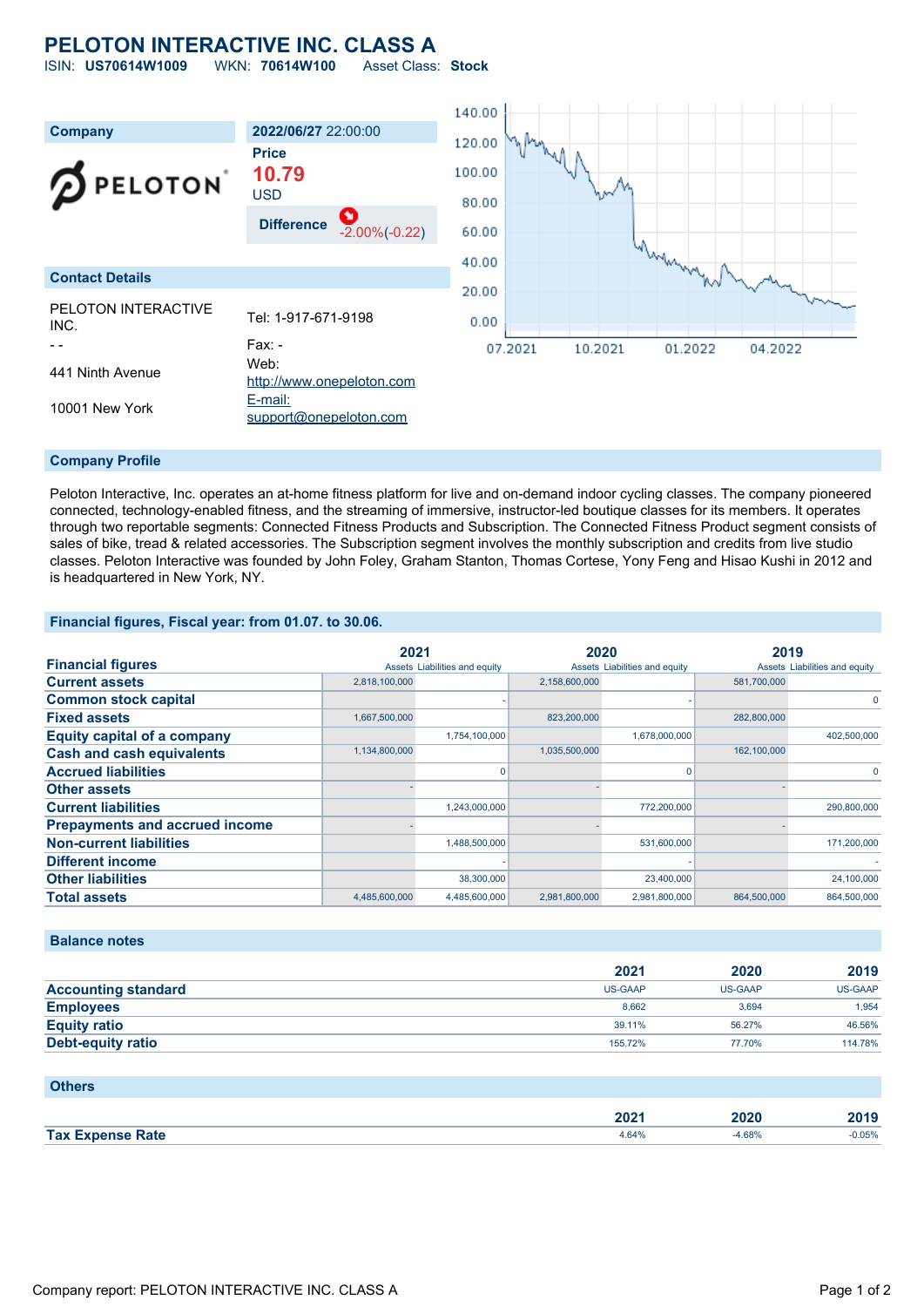# **PELOTON INTERACTIVE INC. CLASS A**

ISIN: **US70614W1009** WKN: **70614W100** Asset Class: **Stock**



#### **Company Profile**

Peloton Interactive, Inc. operates an at-home fitness platform for live and on-demand indoor cycling classes. The company pioneered connected, technology-enabled fitness, and the streaming of immersive, instructor-led boutique classes for its members. It operates through two reportable segments: Connected Fitness Products and Subscription. The Connected Fitness Product segment consists of sales of bike, tread & related accessories. The Subscription segment involves the monthly subscription and credits from live studio classes. Peloton Interactive was founded by John Foley, Graham Stanton, Thomas Cortese, Yony Feng and Hisao Kushi in 2012 and is headquartered in New York, NY.

#### **Financial figures, Fiscal year: from 01.07. to 30.06.**

|                                       | 2021          |                               | 2020          |                               | 2019        |                               |
|---------------------------------------|---------------|-------------------------------|---------------|-------------------------------|-------------|-------------------------------|
| <b>Financial figures</b>              |               | Assets Liabilities and equity |               | Assets Liabilities and equity |             | Assets Liabilities and equity |
| <b>Current assets</b>                 | 2,818,100,000 |                               | 2,158,600,000 |                               | 581.700.000 |                               |
| <b>Common stock capital</b>           |               |                               |               |                               |             | 0                             |
| <b>Fixed assets</b>                   | 1,667,500,000 |                               | 823,200,000   |                               | 282,800,000 |                               |
| <b>Equity capital of a company</b>    |               | 1,754,100,000                 |               | 1,678,000,000                 |             | 402,500,000                   |
| <b>Cash and cash equivalents</b>      | 1,134,800,000 |                               | 1,035,500,000 |                               | 162,100,000 |                               |
| <b>Accrued liabilities</b>            |               |                               |               | $\mathbf 0$                   |             | $\Omega$                      |
| <b>Other assets</b>                   |               |                               |               |                               |             |                               |
| <b>Current liabilities</b>            |               | 1,243,000,000                 |               | 772,200,000                   |             | 290,800,000                   |
| <b>Prepayments and accrued income</b> |               |                               |               |                               |             |                               |
| <b>Non-current liabilities</b>        |               | 1,488,500,000                 |               | 531,600,000                   |             | 171,200,000                   |
| <b>Different income</b>               |               |                               |               |                               |             |                               |
| <b>Other liabilities</b>              |               | 38,300,000                    |               | 23,400,000                    |             | 24,100,000                    |
| <b>Total assets</b>                   | 4,485,600,000 | 4,485,600,000                 | 2,981,800,000 | 2,981,800,000                 | 864,500,000 | 864,500,000                   |

#### **Balance notes**

|                            | 2021    | 2020           | 2019    |
|----------------------------|---------|----------------|---------|
| <b>Accounting standard</b> | US-GAAP | <b>US-GAAP</b> | US-GAAP |
| <b>Employees</b>           | 8.662   | 3.694          | 1.954   |
| <b>Equity ratio</b>        | 39.11%  | 56.27%         | 46.56%  |
| Debt-equity ratio          | 155.72% | 77.70%         | 114.78% |

### **Others**

|                        | החת<br>- 94<br>_____ | 2020<br>_____ | 47 I J   |
|------------------------|----------------------|---------------|----------|
| Expense Rate<br>Tax Ex | $+64%$               | 1.68%         | $-0.05%$ |